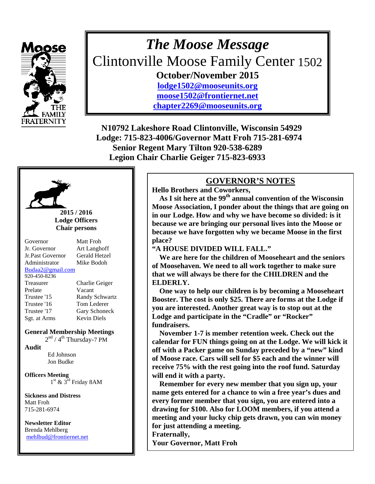

## *The Moose Message*  Clintonville Moose Family Center 1502 **October/November 2015 [lodge1502@mooseunits.org](mailto:lodge1502@mooseunits.org)  [moose1502@frontiernet.net](mailto:moose1502@frontiernet.net)**

**[chapter2269@mooseunits.org](mailto:chapter2269@mooseunits.org)** 

**N10792 Lakeshore Road Clintonville, Wisconsin 54929 Lodge: 715-823-4006/Governor Matt Froh 715-281-6974 Senior Regent Mary Tilton 920-538-6289 Legion Chair Charlie Geiger 715-823-6933** 



#### **2015 / 2016 Lodge Officers Chair persons**

| Governor         | Matt Froh             |
|------------------|-----------------------|
| Jr. Governor     | Art Langhoff          |
| Jr.Past Governor | Gerald Hetzel         |
| Administrator    | Mike Bodoh            |
| Budaa2@gmail.com |                       |
| 920-450-8236     |                       |
| Treasurer        | Charlie Geiger        |
| Prelate          | Vacant                |
| Trustee '15      | <b>Randy Schwartz</b> |
| Trustee '16      | Tom Lederer           |
| Trustee '17      | Gary Schoneck         |
| Sgt. at Arms     | <b>Kevin Diels</b>    |

#### **General Membership Meetings**

 $2<sup>nd</sup> / 4<sup>th</sup> Thursday-7 PM$ 

**Audit** 

 Ed Johnson Jon Budke

**Officers Meeting**   $1<sup>st</sup>$  &  $3<sup>rd</sup>$  Friday 8AM

**Sickness and Distress**  Matt Froh 715-281-6974

 Brenda Mehlberg **Newsletter Editor**  [mehlbud@frontiernet.net](mailto:mehlbud@frontiernet.net)

#### **GOVERNOR'S NOTES**

**Hello Brothers and Coworkers,** 

 **As I sit here at the 99th annual convention of the Wisconsin Moose Association, I ponder about the things that are going on in our Lodge. How and why we have become so divided: is it because we are bringing our personal lives into the Moose or because we have forgotten why we became Moose in the first place?** 

#### **"A HOUSE DIVIDED WILL FALL."**

 **We are here for the children of Mooseheart and the seniors of Moosehaven. We need to all work together to make sure that we will always be there for the CHILDREN and the ELDERLY.** 

 **One way to help our children is by becoming a Mooseheart Booster. The cost is only \$25. There are forms at the Lodge if you are interested. Another great way is to stop out at the Lodge and participate in the "Cradle" or "Rocker" fundraisers.** 

 **November 1-7 is member retention week. Check out the calendar for FUN things going on at the Lodge. We will kick it off with a Packer game on Sunday preceded by a "new" kind of Moose race. Cars will sell for \$5 each and the winner will receive 75% with the rest going into the roof fund. Saturday will end it with a party.** 

 **Remember for every new member that you sign up, your name gets entered for a chance to win a free year's dues and every former member that you sign, you are entered into a drawing for \$100. Also for LOOM members, if you attend a meeting and your lucky chip gets drawn, you can win money for just attending a meeting.** 

**Fraternally,** 

**Your Governor, Matt Froh**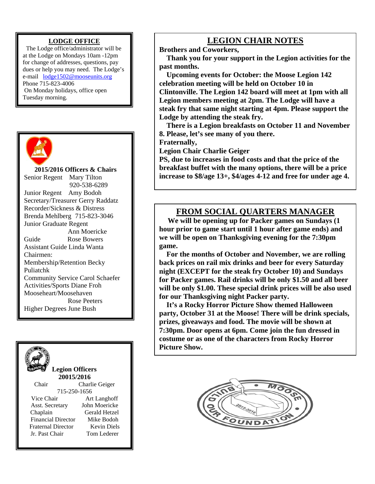#### **LODGE OFFICE**

The Lodge office/administrator will be at the Lodge on Mondays 10am -12pm for change of addresses, questions, pay dues or help you may need. The Lodge's e-mail [lodge1502@mooseunits.org](mailto:lodge1502@mooseunits.org)  Phone 715-823-4006 On Monday holidays, office open Tuesday morning.



**2015/2016 Officers & Chairs**  Senior Regent Mary Tilton 920-538-6289 Junior Regent Amy Bodoh Secretary/Treasurer Gerry Raddatz Recorder/Sickness & Distress Brenda Mehlberg715-823-3046 Junior Graduate Regent Ann Moericke Guide Rose Bowers Assistant Guide Linda Wanta Chairmen: Membership/Retention Becky Puliatchk Community Service Carol Schaefer Activities/Sports Diane Froh Mooseheart/Moosehaven Rose Peeters

Higher Degrees June Bush



#### **LEGION CHAIR NOTES**

**Brothers and Coworkers,** 

 **Thank you for your support in the Legion activities for the past months.** 

 **Upcoming events for October: the Moose Legion 142 celebration meeting will be held on October 10 in Clintonville. The Legion 142 board will meet at 1pm with all Legion members meeting at 2pm. The Lodge will have a steak fry that same night starting at 4pm. Please support the Lodge by attending the steak fry.** 

 **There is a Legion breakfasts on October 11 and November 8. Please, let's see many of you there.** 

**Fraternally,** 

**Legion Chair Charlie Geiger** 

**PS, due to increases in food costs and that the price of the breakfast buffet with the many options, there will be a price increase to \$8/age 13+, \$4/ages 4-12 and free for under age 4.**

### **FROM SOCIAL QUARTERS MANAGER**

 **We will be opening up for Packer games on Sundays (1 hour prior to game start until 1 hour after game ends) and we will be open on Thanksgiving evening for the 7:30pm game.** 

 **For the months of October and November, we are rolling back prices on rail mix drinks and beer for every Saturday night (EXCEPT for the steak fry October 10) and Sundays for Packer games. Rail drinks will be only \$1.50 and all beer will be only \$1.00. These special drink prices will be also used for our Thanksgiving night Packer party.** 

 **It's a Rocky Horror Picture Show themed Halloween party, October 31 at the Moose! There will be drink specials, prizes, giveaways and food. The movie will be shown at 7:30pm. Door opens at 6pm. Come join the fun dressed in costume or as one of the characters from Rocky Horror Picture Show.** 

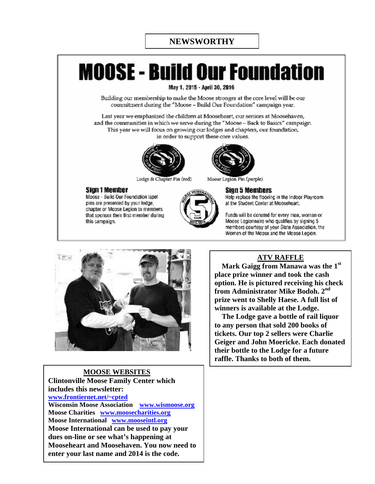# **MOOSE - Build Our Foundation**

May 1, 2015 - April 30, 2016

Building our membership to make the Moose stronger at the core level will be our commitment during the "Moose - Build Our Foundation" campaign year.

Last vear we emphasized the children at Mooseheart, our seniors at Moosehaven, and the communities in which we serve during the "Moose - Back to Basics" campaign. This year we will focus on growing our lodges and chapters, our foundation, in order to support these core values.



Lodge & Chapter Pin (red)

#### Sian 1 Member

Moose - Build Our Foundation lapel pins are presented by your lodge, chapter or Moose Legion to members that sponsor their first member during this campaign.





Moose Legion Pin (purple)

#### Sign 5 Members

Help replace the flooring in the Indoor Playroom at the Student Center at Mooseheart.

Funds will be donated for every man, woman or Moose Legionnaire who qualifies by signing 5 members courtesy of your State Association, the Women of the Moose and the Moose Legion.



#### **MOOSE WEBSITES**

**Clintonville Moose Family Center which includes this newsletter: [www.frontiernet.net/~cpted](http://www.frontiernet.net/%7Ecpted) Wisconsin Moose Association [www.wismoose.org](http://www.wismoose.org/) Moose Charities [www.moosecharities.org](http://www.moosecharities.org/) Moose International [www.mooseintl.org](http://www.mooseintl.org/) Moose International can be used to pay your dues on-line or see what's happening at Mooseheart and Moosehaven. You now need to enter your last name and 2014 is the code.** 

#### **ATV RAFFLE**

 **Mark Gaigg from Manawa was the 1st place prize winner and took the cash option. He is pictured receiving his check from Administrator Mike Bodoh. 2nd prize went to Shelly Haese. A full list of winners is available at the Lodge.** 

 **The Lodge gave a bottle of rail liquor to any person that sold 200 books of tickets. Our top 2 sellers were Charlie Geiger and John Moericke. Each donated their bottle to the Lodge for a future raffle. Thanks to both of them.**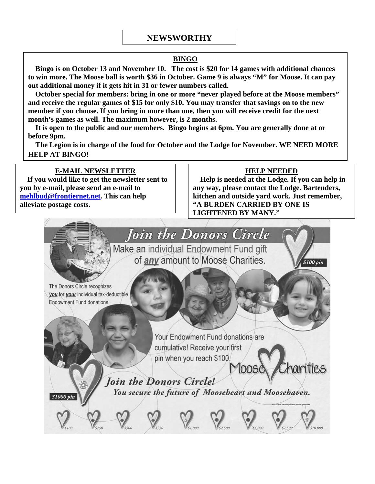#### **NEWSWORTHY**

#### **BINGO**

 **Bingo is on October 13 and November 10. The cost is \$20 for 14 games with additional chances to win more. The Moose ball is worth \$36 in October. Game 9 is always "M" for Moose. It can pay out additional money if it gets hit in 31 or fewer numbers called.** 

 **October special for members: bring in one or more "never played before at the Moose members" and receive the regular games of \$15 for only \$10. You may transfer that savings on to the new member if you choose. If you bring in more than one, then you will receive credit for the next month's games as well. The maximum however, is 2 months.** 

 **It is open to the public and our members. Bingo begins at 6pm. You are generally done at or before 9pm.** 

 **The Legion is in charge of the food for October and the Lodge for November. WE NEED MORE HELP AT BINGO!** 

#### **E-MAIL NEWSLETTER**

 **If you would like to get the newsletter sent to you by e-mail, please send an e-mail to [mehlbud@frontiernet.net](mailto:mehlbud@frontiernet.net). This can help alleviate postage costs.** 

#### **HELP NEEDED**

 **Help is needed at the Lodge. If you can help in any way, please contact the Lodge. Bartenders, kitchen and outside yard work. Just remember, "A BURDEN CARRIED BY ONE IS LIGHTENED BY MANY."** 

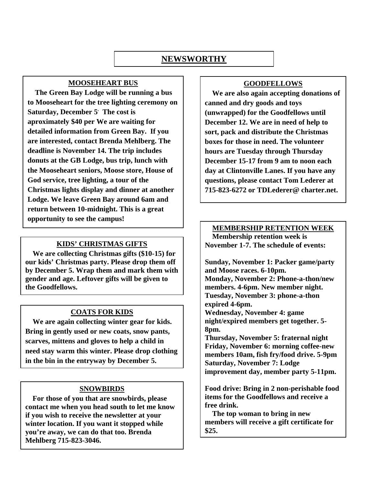#### **NEWSWORTHY**

#### **MOOSEHEART BUS**

 **The Green Bay Lodge will be running a bus to Mooseheart for the tree lighting ceremony on Saturday, December 5. The cost is aproximately \$40 per We are waiting for detailed information from Green Bay. If you are interested, contact Brenda Mehlberg. The deadline is November 14. The trip includes donuts at the GB Lodge, bus trip, lunch with the Mooseheart seniors, Moose store, House of God service, tree lighting, a tour of the Christmas lights display and dinner at another Lodge. We leave Green Bay around 6am and return between 10-midnight. This is a great opportunity to see the campus!** 

#### **KIDS' CHRISTMAS GIFTS**

 **We are collecting Christmas gifts (\$10-15) for our kids' Christmas party. Please drop them off by December 5. Wrap them and mark them with gender and age. Leftover gifts will be given to the Goodfellows.** 

#### **COATS FOR KIDS**

 **We are again collecting winter gear for kids. Bring in gently used or new coats, snow pants, scarves, mittens and gloves to help a child in need stay warm this winter. Please drop clothing in the bin in the entryway by December 5.** 

#### **SNOWBIRDS**

 **For those of you that are snowbirds, please contact me when you head south to let me know if you wish to receive the newsletter at your winter location. If you want it stopped while you're away, we can do that too. Brenda Mehlberg 715-823-3046.** 

#### **GOODFELLOWS**

 **We are also again accepting donations of canned and dry goods and toys (unwrapped) for the Goodfellows until December 12. We are in need of help to sort, pack and distribute the Christmas boxes for those in need. The volunteer hours are Tuesday through Thursday December 15-17 from 9 am to noon each day at Clintonville Lanes. If you have any questions, please contact Tom Lederer at 715-823-6272 or TDLederer@ charter.net.** 

#### **MEMBERSHIP RETENTION WEEK**

 **Membership retention week is November 1-7. The schedule of events:** 

**Sunday, November 1: Packer game/party and Moose races. 6-10pm. Monday, November 2: Phone-a-thon/new members. 4-6pm. New member night. Tuesday, November 3: phone-a-thon expired 4-6pm. Wednesday, November 4: game night/expired members get together. 5- 8pm. Thursday, November 5: fraternal night** 

**Friday, November 6: morning coffee-new members 10am, fish fry/food drive. 5-9pm Saturday, November 7: Lodge improvement day, member party 5-11pm.** 

**Food drive: Bring in 2 non-perishable food items for the Goodfellows and receive a free drink.** 

 **The top woman to bring in new members will receive a gift certificate for \$25.**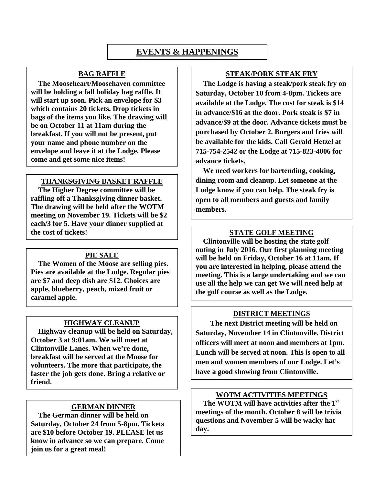### **EVENTS & HAPPENINGS**

#### **BAG RAFFLE**

 **The Mooseheart/Moosehaven committee will be holding a fall holiday bag raffle. It will start up soon. Pick an envelope for \$3 which contains 20 tickets. Drop tickets in bags of the items you like. The drawing will be on October 11 at 11am during the breakfast. If you will not be present, put your name and phone number on the envelope and leave it at the Lodge. Please come and get some nice items!** 

#### **THANKSGIVING BASKET RAFFLE**

 **The Higher Degree committee will be raffling off a Thanksgiving dinner basket. The drawing will be held after the WOTM meeting on November 19. Tickets will be \$2 each/3 for 5. Have your dinner supplied at the cost of tickets! STATE GOLF MEETING**

#### **PIE SALE**

 **The Women of the Moose are selling pies. Pies are available at the Lodge. Regular pies are \$7 and deep dish are \$12. Choices are apple, blueberry, peach, mixed fruit or caramel apple.** 

#### **HIGHWAY CLEANUP**

 **Highway cleanup will be held on Saturday, October 3 at 9:01am. We will meet at Clintonville Lanes. When we're done, breakfast will be served at the Moose for volunteers. The more that participate, the faster the job gets done. Bring a relative or friend.** 

#### **GERMAN DINNER**

 **The German dinner will be held on Saturday, October 24 from 5-8pm. Tickets are \$10 before October 19. PLEASE let us know in advance so we can prepare. Come join us for a great meal!** 

#### **STEAK/PORK STEAK FRY**

 **The Lodge is having a steak/pork steak fry on Saturday, October 10 from 4-8pm. Tickets are available at the Lodge. The cost for steak is \$14 in advance/\$16 at the door. Pork steak is \$7 in advance/\$9 at the door. Advance tickets must be purchased by October 2. Burgers and fries will be available for the kids. Call Gerald Hetzel at 715-754-2542 or the Lodge at 715-823-4006 for advance tickets.** 

 **We need workers for bartending, cooking, dining room and cleanup. Let someone at the Lodge know if you can help. The steak fry is open to all members and guests and family members.** 

 **Clintonville will be hosting the state golf outing in July 2016. Our first planning meeting will be held on Friday, October 16 at 11am. If you are interested in helping, please attend the meeting. This is a large undertaking and we can use all the help we can get We will need help at the golf course as well as the Lodge.** 

#### **DISTRICT MEETINGS**

 **The next District meeting will be held on Saturday, November 14 in Clintonville. District officers will meet at noon and members at 1pm. Lunch will be served at noon. This is open to all men and women members of our Lodge. Let's have a good showing from Clintonville.** 

#### **WOTM ACTIVITIES MEETINGS**

 **The WOTM will have activities after the 1st meetings of the month. October 8 will be trivia questions and November 5 will be wacky hat day.**